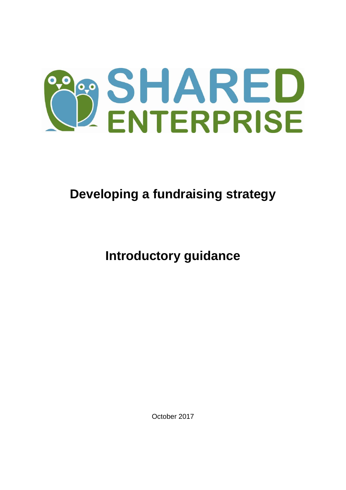

# **Developing a fundraising strategy**

**Introductory guidance**

October 2017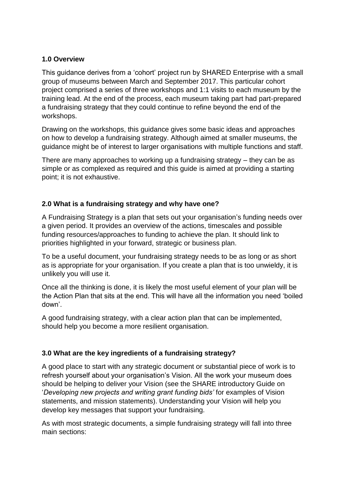## **1.0 Overview**

This guidance derives from a 'cohort' project run by SHARED Enterprise with a small group of museums between March and September 2017. This particular cohort project comprised a series of three workshops and 1:1 visits to each museum by the training lead. At the end of the process, each museum taking part had part-prepared a fundraising strategy that they could continue to refine beyond the end of the workshops.

Drawing on the workshops, this guidance gives some basic ideas and approaches on how to develop a fundraising strategy. Although aimed at smaller museums, the guidance might be of interest to larger organisations with multiple functions and staff.

There are many approaches to working up a fundraising strategy – they can be as simple or as complexed as required and this guide is aimed at providing a starting point; it is not exhaustive.

# **2.0 What is a fundraising strategy and why have one?**

A Fundraising Strategy is a plan that sets out your organisation's funding needs over a given period. It provides an overview of the actions, timescales and possible funding resources/approaches to funding to achieve the plan. It should link to priorities highlighted in your forward, strategic or business plan.

To be a useful document, your fundraising strategy needs to be as long or as short as is appropriate for your organisation. If you create a plan that is too unwieldy, it is unlikely you will use it.

Once all the thinking is done, it is likely the most useful element of your plan will be the Action Plan that sits at the end. This will have all the information you need 'boiled down'.

A good fundraising strategy, with a clear action plan that can be implemented, should help you become a more resilient organisation.

## **3.0 What are the key ingredients of a fundraising strategy?**

A good place to start with any strategic document or substantial piece of work is to refresh yourself about your organisation's Vision. All the work your museum does should be helping to deliver your Vision (see the SHARE introductory Guide on '*Developing new projects and writing grant funding bids'* for examples of Vision statements, and mission statements). Understanding your Vision will help you develop key messages that support your fundraising.

As with most strategic documents, a simple fundraising strategy will fall into three main sections: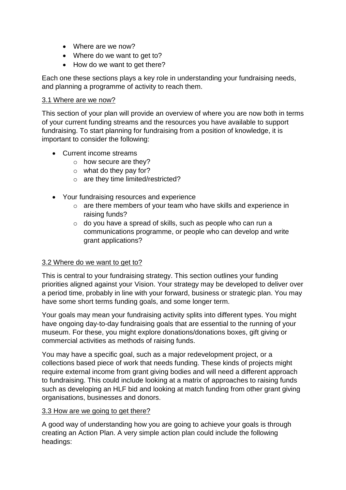- Where are we now?
- Where do we want to get to?
- How do we want to get there?

Each one these sections plays a key role in understanding your fundraising needs, and planning a programme of activity to reach them.

## 3.1 Where are we now?

This section of your plan will provide an overview of where you are now both in terms of your current funding streams and the resources you have available to support fundraising. To start planning for fundraising from a position of knowledge, it is important to consider the following:

- Current income streams
	- o how secure are they?
	- $\circ$  what do they pay for?
	- o are they time limited/restricted?
- Your fundraising resources and experience
	- o are there members of your team who have skills and experience in raising funds?
	- o do you have a spread of skills, such as people who can run a communications programme, or people who can develop and write grant applications?

## 3.2 Where do we want to get to?

This is central to your fundraising strategy. This section outlines your funding priorities aligned against your Vision. Your strategy may be developed to deliver over a period time, probably in line with your forward, business or strategic plan. You may have some short terms funding goals, and some longer term.

Your goals may mean your fundraising activity splits into different types. You might have ongoing day-to-day fundraising goals that are essential to the running of your museum. For these, you might explore donations/donations boxes, gift giving or commercial activities as methods of raising funds.

You may have a specific goal, such as a major redevelopment project, or a collections based piece of work that needs funding. These kinds of projects might require external income from grant giving bodies and will need a different approach to fundraising. This could include looking at a matrix of approaches to raising funds such as developing an HLF bid and looking at match funding from other grant giving organisations, businesses and donors.

#### 3.3 How are we going to get there?

A good way of understanding how you are going to achieve your goals is through creating an Action Plan. A very simple action plan could include the following headings: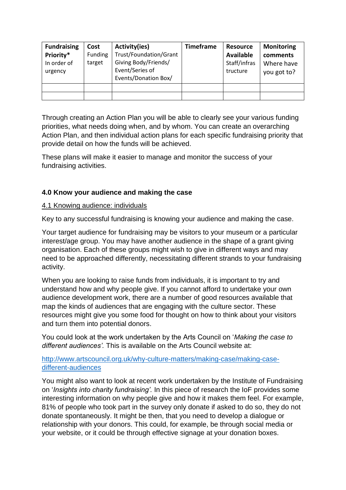| <b>Fundraising</b><br>Priority*<br>In order of<br>urgency | Cost<br>Funding<br>target | Activity(ies)<br>Trust/Foundation/Grant<br>Giving Body/Friends/<br>Event/Series of<br>Events/Donation Box/ | <b>Timeframe</b> | <b>Resource</b><br><b>Available</b><br>Staff/infras<br>tructure | <b>Monitoring</b><br>comments<br>Where have<br>you got to? |
|-----------------------------------------------------------|---------------------------|------------------------------------------------------------------------------------------------------------|------------------|-----------------------------------------------------------------|------------------------------------------------------------|
|                                                           |                           |                                                                                                            |                  |                                                                 |                                                            |
|                                                           |                           |                                                                                                            |                  |                                                                 |                                                            |

Through creating an Action Plan you will be able to clearly see your various funding priorities, what needs doing when, and by whom. You can create an overarching Action Plan, and then individual action plans for each specific fundraising priority that provide detail on how the funds will be achieved.

These plans will make it easier to manage and monitor the success of your fundraising activities.

## **4.0 Know your audience and making the case**

## 4.1 Knowing audience: individuals

Key to any successful fundraising is knowing your audience and making the case.

Your target audience for fundraising may be visitors to your museum or a particular interest/age group. You may have another audience in the shape of a grant giving organisation. Each of these groups might wish to give in different ways and may need to be approached differently, necessitating different strands to your fundraising activity.

When you are looking to raise funds from individuals, it is important to try and understand how and why people give. If you cannot afford to undertake your own audience development work, there are a number of good resources available that map the kinds of audiences that are engaging with the culture sector. These resources might give you some food for thought on how to think about your visitors and turn them into potential donors.

You could look at the work undertaken by the Arts Council on '*Making the case to different audiences'.* This is available on the Arts Council website at:

## [http://www.artscouncil.org.uk/why-culture-matters/making-case/making-case](http://www.artscouncil.org.uk/why-culture-matters/making-case/making-case-different-audiences)[different-audiences](http://www.artscouncil.org.uk/why-culture-matters/making-case/making-case-different-audiences)

You might also want to look at recent work undertaken by the Institute of Fundraising on '*Insights into charity fundraising'.* In this piece of research the IoF provides some interesting information on why people give and how it makes them feel. For example, 81% of people who took part in the survey only donate if asked to do so, they do not donate spontaneously. It might be then, that you need to develop a dialogue or relationship with your donors. This could, for example, be through social media or your website, or it could be through effective signage at your donation boxes.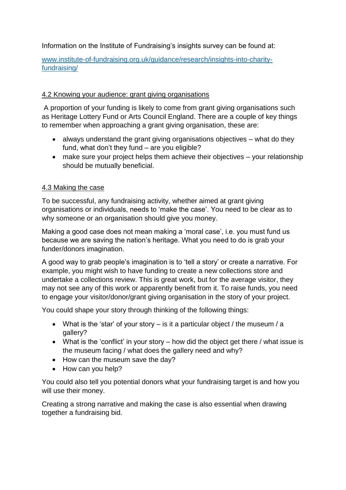Information on the Institute of Fundraising's insights survey can be found at:

[www.institute-of-fundraising.org.uk/guidance/research/insights-into-charity](http://www.institute-of-fundraising.org.uk/guidance/research/insights-into-charity-fundraising/)[fundraising/](http://www.institute-of-fundraising.org.uk/guidance/research/insights-into-charity-fundraising/)

# 4.2 Knowing your audience: grant giving organisations

A proportion of your funding is likely to come from grant giving organisations such as Heritage Lottery Fund or Arts Council England. There are a couple of key things to remember when approaching a grant giving organisation, these are:

- always understand the grant giving organisations objectives what do they fund, what don't they fund – are you eligible?
- make sure your project helps them achieve their objectives your relationship should be mutually beneficial.

# 4.3 Making the case

To be successful, any fundraising activity, whether aimed at grant giving organisations or individuals, needs to 'make the case'. You need to be clear as to why someone or an organisation should give you money.

Making a good case does not mean making a 'moral case', i.e. you must fund us because we are saving the nation's heritage. What you need to do is grab your funder/donors imagination.

A good way to grab people's imagination is to 'tell a story' or create a narrative. For example, you might wish to have funding to create a new collections store and undertake a collections review. This is great work, but for the average visitor, they may not see any of this work or apparently benefit from it. To raise funds, you need to engage your visitor/donor/grant giving organisation in the story of your project.

You could shape your story through thinking of the following things:

- What is the 'star' of your story  $-$  is it a particular object / the museum / a gallery?
- What is the 'conflict' in your story how did the object get there / what issue is the museum facing / what does the gallery need and why?
- How can the museum save the day?
- How can you help?

You could also tell you potential donors what your fundraising target is and how you will use their money.

Creating a strong narrative and making the case is also essential when drawing together a fundraising bid.